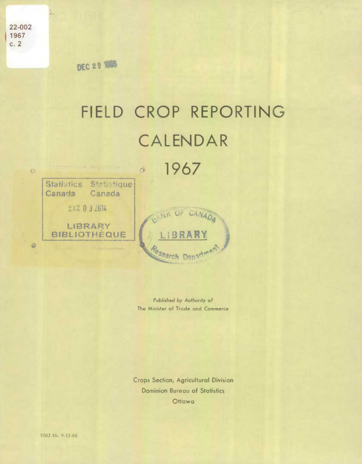22-002 1967  $c.2$ 

 $\circ$ 

**DEC 29 1866** 

## FIELD CROP REPORTING CALENDAR 1967 SVA 2010 73 - $\circ$

Statistics Statistique Canada Canada **AXA 0 3 2014**  $\Omega$ LIBRARY **BIBLIOTHEQUE IBRA**  $\ddot{\mathcal{Q}}$ esearch Depat

> Published by Authority of The Minister of Trade and Commerce

**Crops Section, Agricultural Division Dominion Bureau of Statistics** Ottawa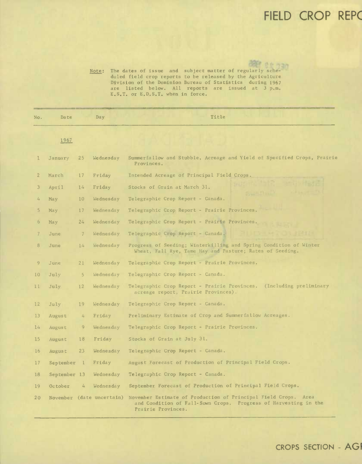## **FIELD CROP REP(**

Note: The dates of issue and subject matter of regularly scheduled field crop reports to be released by the Agriculture Division of the Dominion Bureau of Statistics during 1967 are listed below. All reports are issued at 3 p.m. E.S.T. or E.D.S.T. when in force.

| No.                     | Date         |               | Day                       | Title                                                                                                                                                   |
|-------------------------|--------------|---------------|---------------------------|---------------------------------------------------------------------------------------------------------------------------------------------------------|
|                         | 1967         |               |                           |                                                                                                                                                         |
| ı                       | January      | 25            | Wednesday                 | Summerfallow and Stubble, Acreage and Yield of Specified Crops, Prairie<br>Provinces.                                                                   |
| $\overline{2}$          | March        | 17            | Friday                    | Intended Acreage of Principal Field Crops.                                                                                                              |
| $\overline{\mathbf{3}}$ | April        | 14            | Friday                    | Stocks of Grain at March 31.                                                                                                                            |
| $4-$                    | May          | 10            | Wednesday                 | Telegraphic Crop Report - Canada.                                                                                                                       |
| 5                       | May          | 17            | Wednesday                 | Telegraphic Crop Report - Prairie Provinces.                                                                                                            |
| 6                       | May          | 24            | Wednesday                 | Telegraphic Crop Report - Prairie Provinces.                                                                                                            |
| 7                       | June         | $\mathcal{I}$ | Wednesday                 | Telegraphic Crop Report - Canada.                                                                                                                       |
| 8                       | June         | 14            | Wednesday                 | Progress of Seeding; Winterkilling and Spring Condition of Winter<br>Wheat, Fall Rye, Tame Hay and Pasture; Rates of Seeding.                           |
| 9                       | June         | 21            | Wednesday                 | Telegraphic Crop Report - Prairie Provinces.                                                                                                            |
| 10 <sup>°</sup>         | July         | 5             | Wednesday                 | Telegraphic Crop Report - Canada.                                                                                                                       |
| 11                      | July         | 12            | Wednesday                 | Telegraphic Crop Report - Prairie Provinces. (Including preliminary<br>acreage report, Prairie Provinces).                                              |
| 12                      | July         | 19            | Wednesday                 | Telegraphic Crop Report - Canada.                                                                                                                       |
| 13                      | August       | 4             | Friday                    | Preliminary Estimate of Crop and Summerfallow Acreages.                                                                                                 |
| 14                      | August       | 9             | Wednesday                 | Telegraphic Crop Report - Prairie Provinces.                                                                                                            |
| 15                      | August       | 18            | Friday                    | Stocks of Grain at July 31.                                                                                                                             |
| 16                      | August       | 23            | Wednesday                 | Telegraphic Crop Report - Canada.                                                                                                                       |
| 17                      | September 1  |               | Friday                    | August Forecast of Production of Principal Field Crops.                                                                                                 |
| 18                      | September 13 |               | Wednesday                 | Telegraphic Crop Report - Canada.                                                                                                                       |
| 19                      | October      | 4             | Wednesday                 | September Forecast of Production of Principal Field Crops.                                                                                              |
| 20 <sub>o</sub>         |              |               | November (date uncertain) | November Estimate of Production of Principal Field Crops. Area<br>and Condition of Fall-Sown Crops. Progress of Harvesting in the<br>Prairie Provinces. |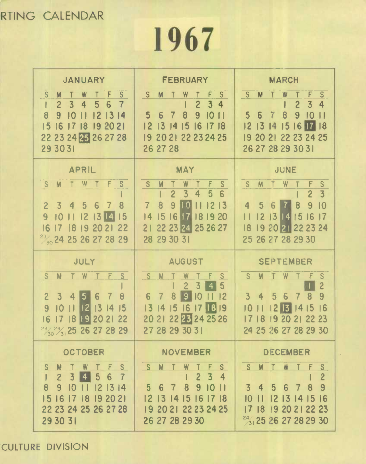## **RTING CALENDAR**

**1967** 

| <b>JANUARY</b>                                                                                                                                                                                                                                     | <b>FEBRUARY</b>                                                                                                                                                                                                                                                         | <b>MARCH</b>                                                                                                                                                                                                  |
|----------------------------------------------------------------------------------------------------------------------------------------------------------------------------------------------------------------------------------------------------|-------------------------------------------------------------------------------------------------------------------------------------------------------------------------------------------------------------------------------------------------------------------------|---------------------------------------------------------------------------------------------------------------------------------------------------------------------------------------------------------------|
| F<br>S<br>S<br>W<br>M<br>$\overline{3}$<br>5<br>$\overline{2}$<br>4<br>6<br>8<br>9<br>$\overline{10}$<br>12<br>13<br> 4<br>15<br>16 17 18<br>192021<br>22 23 24 25 26 27 28<br>29 30 31                                                            | S.<br>S<br>F<br>M<br>3<br>$\overline{2}$<br>4<br>5<br>8<br>9<br>7<br>$\overline{10}$<br>6<br>16 17 18<br>$12$ 13 14 15<br>19 20 21 22 23 24 25<br>26 27 28                                                                                                              | F<br>S.<br>S<br>M.<br>W<br>$\overline{2}$<br>$\overline{3}$<br>4<br>8<br>5<br>9<br>$\overline{\mathcal{L}}$<br>$\overline{10}$<br>6<br> 4<br>15 16 17 18<br>1213<br>19 20 21 22 23 24 25<br>26 27 28 29 30 31 |
| <b>APRIL</b><br>F<br>S<br>S<br>W<br>M<br>8<br>3<br>5<br>$\overline{2}$<br>4<br>6<br>$\overline{7}$<br>11121314<br>9<br>$\vert$ 15<br>10<br>17 18 19 20 21 22<br>16<br>$\frac{23}{30}$ 24 25 26 27 28 29                                            | MAY<br><sub>S</sub><br>S<br>F<br>M<br>$\overline{2}$<br>$\overline{3}$<br>5<br>6<br>$\overline{4}$<br>9 <sup>°</sup><br><b>HOI</b><br>$\overline{7}$<br>8<br>12<br>$\overline{13}$<br>$\mathbf{L}$<br>16 17 18 19 20<br> 4<br> 5 <br>2 22 23 24 25 26 27<br>28 29 30 31 | <b>JUNE</b><br>S<br>S<br>M<br>W<br>$\overline{3}$<br>$\overline{2}$<br>9<br>10<br>5<br>8<br>4<br>6<br>$12$ $13$ $14$ $15$<br> 17<br> 6<br>19 20 21 22 23 24<br> 8 <br>25 26 27 28 29 30                       |
|                                                                                                                                                                                                                                                    |                                                                                                                                                                                                                                                                         |                                                                                                                                                                                                               |
| JULY                                                                                                                                                                                                                                               | <b>AUGUST</b>                                                                                                                                                                                                                                                           | <b>SEPTEMBER</b>                                                                                                                                                                                              |
| S <sub>1</sub><br>F<br><sub>S</sub><br>M<br>W<br>$\overline{3}$<br>8<br>2 <sup>1</sup><br>4<br>15<br>6<br>7<br>ll 21<br> 13 <br>9<br>$ 4 $ 15<br>$\overline{10}$<br>П<br>17 18 19 20 21 22<br>16<br>$\frac{23}{30}$ $\frac{24}{31}$ 25 26 27 28 29 | S.<br>S<br>M<br>W<br>5<br>$\overline{3}$<br>$\overline{c}$<br>A<br>8<br>$\overline{9}$<br>6<br>$\overline{10}$<br>$\overline{7}$<br>12<br>15 16 17 18 19<br>1314<br>20 21 22 23 24 25 26<br>27 28 29 30 31                                                              | S.<br>W<br>S<br>M<br>F<br>$\overline{c}$<br>$\overline{\mathbf{3}}$<br>9<br>4<br>5<br>7<br>8<br>6<br>213<br>1415<br> 16<br>10<br>9 20<br>17<br> 8<br>21 22 23<br>24 25 26 27 28 29 30                         |
| <b>OCTOBER</b>                                                                                                                                                                                                                                     | <b>NOVEMBER</b>                                                                                                                                                                                                                                                         | <b>DECEMBER</b>                                                                                                                                                                                               |

**CULTURE DIVISION**